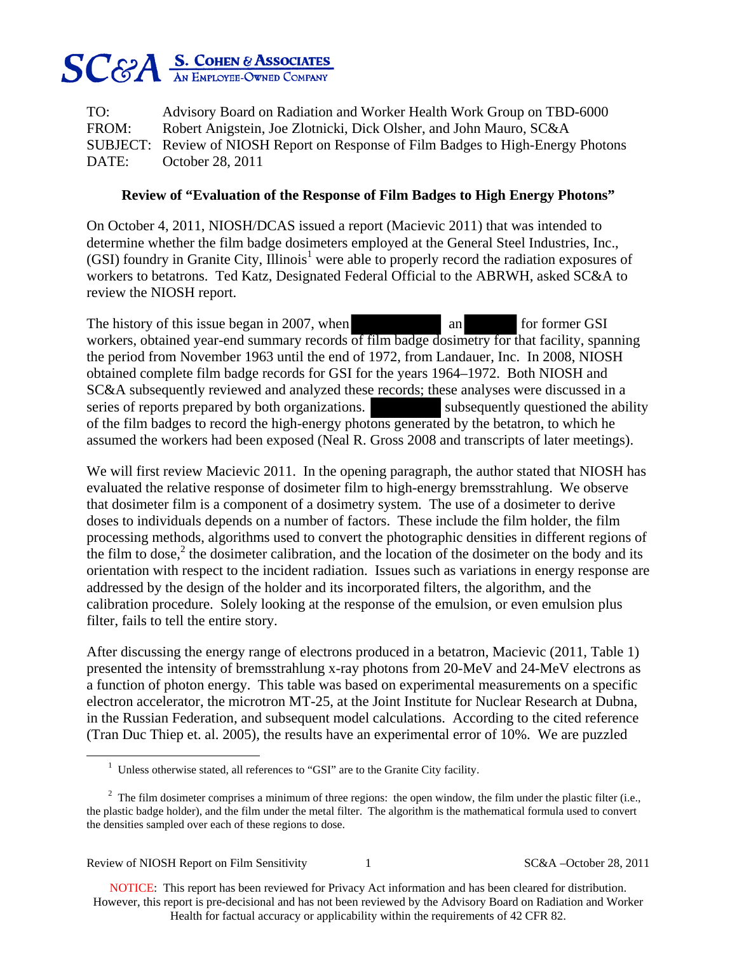

TO: Advisory Board on Radiation and Worker Health Work Group on TBD-6000 FROM: Robert Anigstein, Joe Zlotnicki, Dick Olsher, and John Mauro, SC&A SUBJECT: Review of NIOSH Report on Response of Film Badges to High-Energy Photons DATE: October 28, 2011

## **Review of "Evaluation of the Response of Film Badges to High Energy Photons"**

On October 4, 2011, NIOSH/DCAS issued a report (Macievic 2011) that was intended to determine whether the film badge dosimeters employed at the General Steel Industries, Inc., (GSI) foundry in Granite City, Illinois<sup>1</sup> were able to properly record the radiation exposures of workers to betatrons. Ted Katz, Designated Federal Official to the ABRWH, asked SC&A to review the NIOSH report.

The history of this issue began in 2007, when an for former GSI workers, obtained year-end summary records of film badge dosimetry for that facility, spanning the period from November 1963 until the end of 1972, from Landauer, Inc. In 2008, NIOSH obtained complete film badge records for GSI for the years 1964–1972. Both NIOSH and SC&A subsequently reviewed and analyzed these records; these analyses were discussed in a series of reports prepared by both organizations. Subsequently questioned the ability of the film badges to record the high-energy photons generated by the betatron, to which he assumed the workers had been exposed (Neal R. Gross 2008 and transcripts of later meetings).

We will first review Macievic 2011. In the opening paragraph, the author stated that NIOSH has evaluated the relative response of dosimeter film to high-energy bremsstrahlung. We observe that dosimeter film is a component of a dosimetry system. The use of a dosimeter to derive doses to individuals depends on a number of factors. These include the film holder, the film processing methods, algorithms used to convert the photographic densities in different regions of the film to dose,<sup>2</sup> the dosimeter calibration, and the location of the dosimeter on the body and its orientation with respect to the incident radiation. Issues such as variations in energy response are addressed by the design of the holder and its incorporated filters, the algorithm, and the calibration procedure. Solely looking at the response of the emulsion, or even emulsion plus filter, fails to tell the entire story.

After discussing the energy range of electrons produced in a betatron, Macievic (2011, Table 1) presented the intensity of bremsstrahlung x-ray photons from 20-MeV and 24-MeV electrons as a function of photon energy. This table was based on experimental measurements on a specific electron accelerator, the microtron MT-25, at the Joint Institute for Nuclear Research at Dubna, in the Russian Federation, and subsequent model calculations. According to the cited reference (Tran Duc Thiep et. al. 2005), the results have an experimental error of 10%. We are puzzled

 $\overline{a}$ 

<sup>&</sup>lt;sup>1</sup> Unless otherwise stated, all references to "GSI" are to the Granite City facility.

<sup>&</sup>lt;sup>2</sup> The film dosimeter comprises a minimum of three regions: the open window, the film under the plastic filter (i.e., the plastic badge holder), and the film under the metal filter. The algorithm is the mathematical formula used to convert the densities sampled over each of these regions to dose.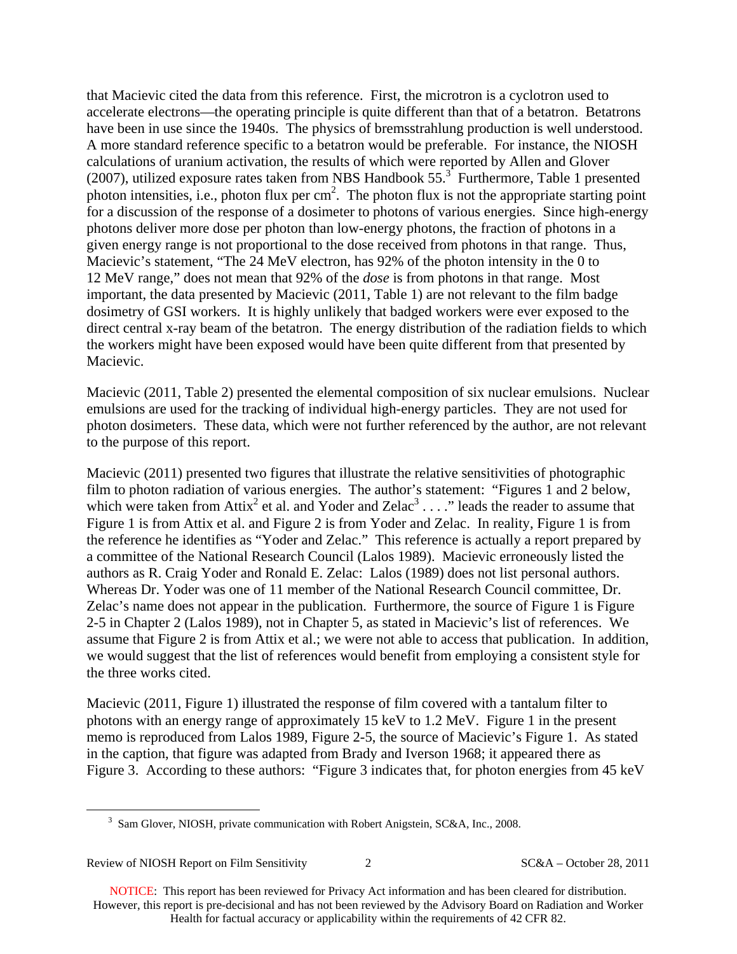that Macievic cited the data from this reference. First, the microtron is a cyclotron used to accelerate electrons—the operating principle is quite different than that of a betatron. Betatrons have been in use since the 1940s. The physics of bremsstrahlung production is well understood. A more standard reference specific to a betatron would be preferable. For instance, the NIOSH calculations of uranium activation, the results of which were reported by Allen and Glover (2007), utilized exposure rates taken from NBS Handbook  $55.<sup>3</sup>$  Furthermore, Table 1 presented photon intensities, i.e., photon flux per  $cm<sup>2</sup>$ . The photon flux is not the appropriate starting point for a discussion of the response of a dosimeter to photons of various energies. Since high-energy photons deliver more dose per photon than low-energy photons, the fraction of photons in a given energy range is not proportional to the dose received from photons in that range. Thus, Macievic's statement, "The 24 MeV electron, has 92% of the photon intensity in the 0 to 12 MeV range," does not mean that 92% of the *dose* is from photons in that range. Most important, the data presented by Macievic (2011, Table 1) are not relevant to the film badge dosimetry of GSI workers. It is highly unlikely that badged workers were ever exposed to the direct central x-ray beam of the betatron. The energy distribution of the radiation fields to which the workers might have been exposed would have been quite different from that presented by Macievic.

Macievic (2011, Table 2) presented the elemental composition of six nuclear emulsions. Nuclear emulsions are used for the tracking of individual high-energy particles. They are not used for photon dosimeters. These data, which were not further referenced by the author, are not relevant to the purpose of this report.

Macievic (2011) presented two figures that illustrate the relative sensitivities of photographic film to photon radiation of various energies. The author's statement: "Figures 1 and 2 below, which were taken from Attix<sup>2</sup> et al. and Yoder and Zelac<sup>3</sup> . . . ." leads the reader to assume that Figure 1 is from Attix et al. and Figure 2 is from Yoder and Zelac. In reality, Figure 1 is from the reference he identifies as "Yoder and Zelac." This reference is actually a report prepared by a committee of the National Research Council (Lalos 1989). Macievic erroneously listed the authors as R. Craig Yoder and Ronald E. Zelac: Lalos (1989) does not list personal authors. Whereas Dr. Yoder was one of 11 member of the National Research Council committee, Dr. Zelac's name does not appear in the publication. Furthermore, the source of Figure 1 is Figure 2-5 in Chapter 2 (Lalos 1989), not in Chapter 5, as stated in Macievic's list of references. We assume that Figure 2 is from Attix et al.; we were not able to access that publication. In addition, we would suggest that the list of references would benefit from employing a consistent style for the three works cited.

Macievic (2011, Figure 1) illustrated the response of film covered with a tantalum filter to photons with an energy range of approximately 15 keV to 1.2 MeV. Figure 1 in the present memo is reproduced from Lalos 1989, Figure 2-5, the source of Macievic's Figure 1. As stated in the caption, that figure was adapted from Brady and Iverson 1968; it appeared there as Figure 3. According to these authors: "Figure 3 indicates that, for photon energies from 45 keV

 $\overline{a}$ 

 $3$  Sam Glover, NIOSH, private communication with Robert Anigstein, SC&A, Inc., 2008.

Review of NIOSH Report on Film Sensitivity 2 2 SC&A – October 28, 2011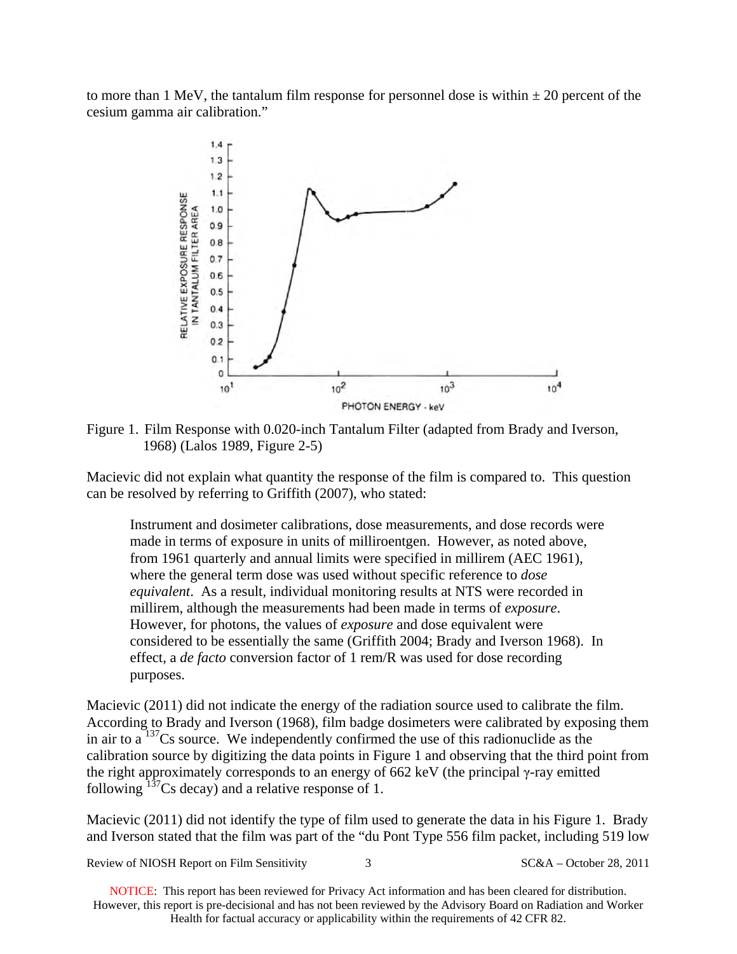to more than 1 MeV, the tantalum film response for personnel dose is within  $\pm 20$  percent of the cesium gamma air calibration."



Figure 1. Film Response with 0.020-inch Tantalum Filter (adapted from Brady and Iverson, 1968) (Lalos 1989, Figure 2-5)

Macievic did not explain what quantity the response of the film is compared to. This question can be resolved by referring to Griffith (2007), who stated:

Instrument and dosimeter calibrations, dose measurements, and dose records were made in terms of exposure in units of milliroentgen. However, as noted above, from 1961 quarterly and annual limits were specified in millirem (AEC 1961), where the general term dose was used without specific reference to *dose equivalent*. As a result, individual monitoring results at NTS were recorded in millirem, although the measurements had been made in terms of *exposure*. However, for photons, the values of *exposure* and dose equivalent were considered to be essentially the same (Griffith 2004; Brady and Iverson 1968). In effect, a *de facto* conversion factor of 1 rem/R was used for dose recording purposes.

Macievic (2011) did not indicate the energy of the radiation source used to calibrate the film. According to Brady and Iverson (1968), film badge dosimeters were calibrated by exposing them in air to a  $137$ Cs source. We independently confirmed the use of this radionuclide as the calibration source by digitizing the data points in Figure 1 and observing that the third point from the right approximately corresponds to an energy of 662 keV (the principal γ-ray emitted following  $137$ Cs decay) and a relative response of 1.

Macievic (2011) did not identify the type of film used to generate the data in his Figure 1. Brady and Iverson stated that the film was part of the "du Pont Type 556 film packet, including 519 low

Review of NIOSH Report on Film Sensitivity 3 SC&A – October 28, 2011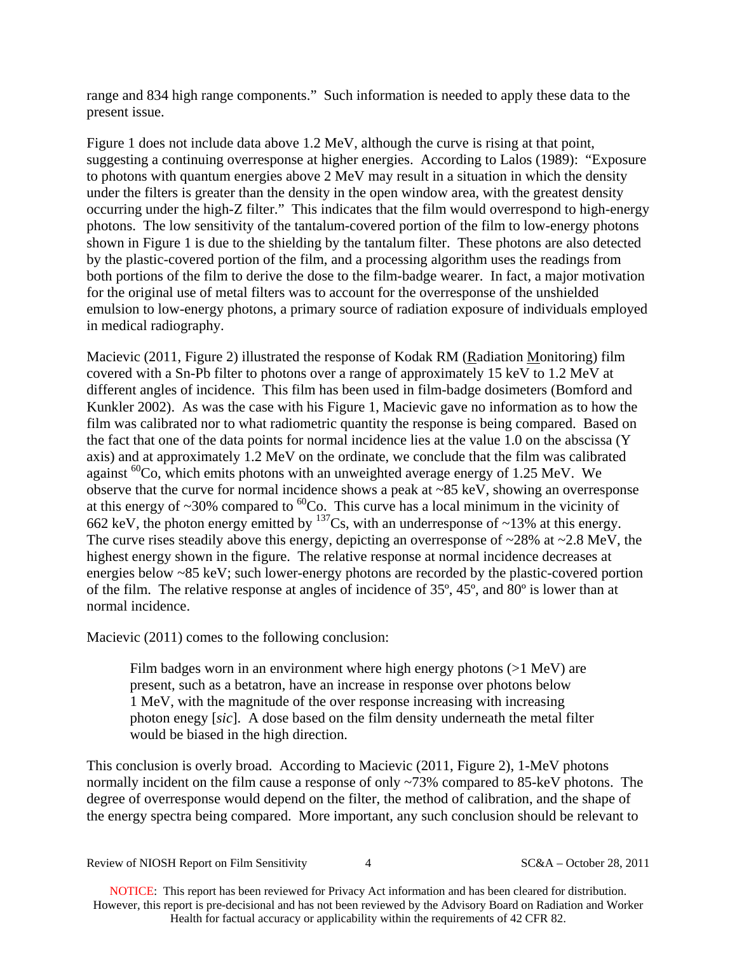range and 834 high range components." Such information is needed to apply these data to the present issue.

Figure 1 does not include data above 1.2 MeV, although the curve is rising at that point, suggesting a continuing overresponse at higher energies. According to Lalos (1989): "Exposure to photons with quantum energies above 2 MeV may result in a situation in which the density under the filters is greater than the density in the open window area, with the greatest density occurring under the high-Z filter." This indicates that the film would overrespond to high-energy photons. The low sensitivity of the tantalum-covered portion of the film to low-energy photons shown in Figure 1 is due to the shielding by the tantalum filter. These photons are also detected by the plastic-covered portion of the film, and a processing algorithm uses the readings from both portions of the film to derive the dose to the film-badge wearer. In fact, a major motivation for the original use of metal filters was to account for the overresponse of the unshielded emulsion to low-energy photons, a primary source of radiation exposure of individuals employed in medical radiography.

Macievic (2011, Figure 2) illustrated the response of Kodak RM (Radiation Monitoring) film covered with a Sn-Pb filter to photons over a range of approximately 15 keV to 1.2 MeV at different angles of incidence. This film has been used in film-badge dosimeters (Bomford and Kunkler 2002). As was the case with his Figure 1, Macievic gave no information as to how the film was calibrated nor to what radiometric quantity the response is being compared. Based on the fact that one of the data points for normal incidence lies at the value 1.0 on the abscissa (Y axis) and at approximately 1.2 MeV on the ordinate, we conclude that the film was calibrated against  ${}^{60}Co$ , which emits photons with an unweighted average energy of 1.25 MeV. We observe that the curve for normal incidence shows a peak at ~85 keV, showing an overresponse at this energy of  $\sim$ 30% compared to  ${}^{60}$ Co. This curve has a local minimum in the vicinity of 662 keV, the photon energy emitted by  $^{137}Cs$ , with an underresponse of ~13% at this energy. The curve rises steadily above this energy, depicting an overresponse of ~28% at ~2.8 MeV, the highest energy shown in the figure. The relative response at normal incidence decreases at energies below ~85 keV; such lower-energy photons are recorded by the plastic-covered portion of the film. The relative response at angles of incidence of 35º, 45º, and 80º is lower than at normal incidence.

Macievic (2011) comes to the following conclusion:

Film badges worn in an environment where high energy photons (>1 MeV) are present, such as a betatron, have an increase in response over photons below 1 MeV, with the magnitude of the over response increasing with increasing photon enegy [*sic*]. A dose based on the film density underneath the metal filter would be biased in the high direction.

This conclusion is overly broad. According to Macievic (2011, Figure 2), 1-MeV photons normally incident on the film cause a response of only ~73% compared to 85-keV photons. The degree of overresponse would depend on the filter, the method of calibration, and the shape of the energy spectra being compared. More important, any such conclusion should be relevant to

Review of NIOSH Report on Film Sensitivity  $48.2011$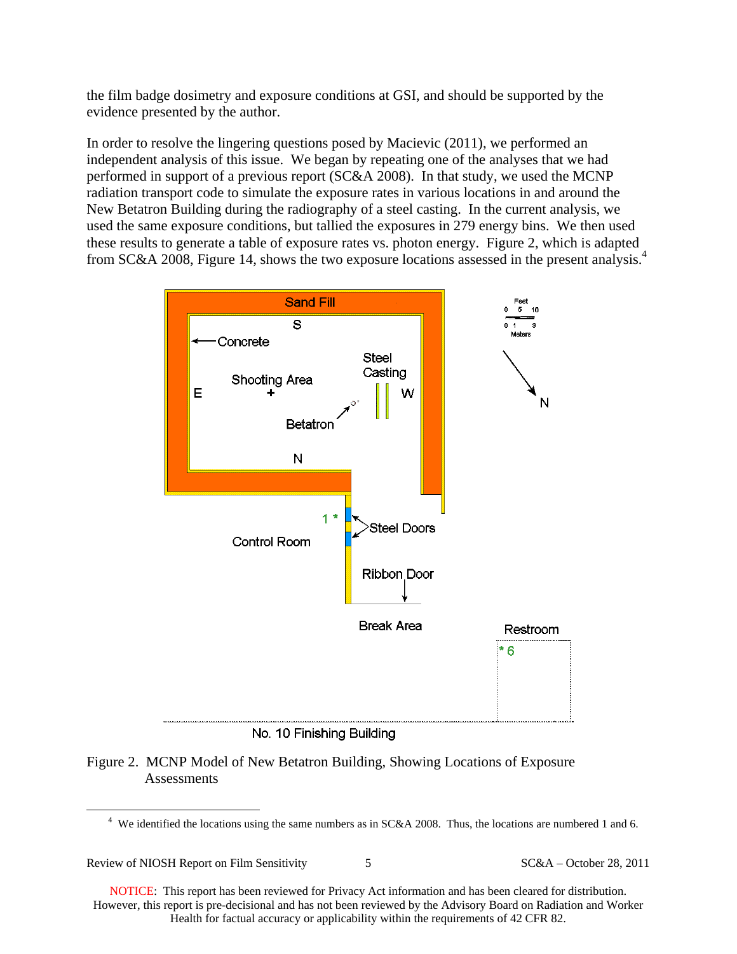the film badge dosimetry and exposure conditions at GSI, and should be supported by the evidence presented by the author.

In order to resolve the lingering questions posed by Macievic (2011), we performed an independent analysis of this issue. We began by repeating one of the analyses that we had performed in support of a previous report (SC&A 2008). In that study, we used the MCNP radiation transport code to simulate the exposure rates in various locations in and around the New Betatron Building during the radiography of a steel casting. In the current analysis, we used the same exposure conditions, but tallied the exposures in 279 energy bins. We then used these results to generate a table of exposure rates vs. photon energy. Figure 2, which is adapted from SC&A 2008, Figure 14, shows the two exposure locations assessed in the present analysis.4



No. 10 Finishing Building

## Figure 2. MCNP Model of New Betatron Building, Showing Locations of Exposure Assessments

Review of NIOSH Report on Film Sensitivity 5 5 SC&A – October 28, 2011

 $\overline{a}$ 

<sup>&</sup>lt;sup>4</sup> We identified the locations using the same numbers as in SC&A 2008. Thus, the locations are numbered 1 and 6.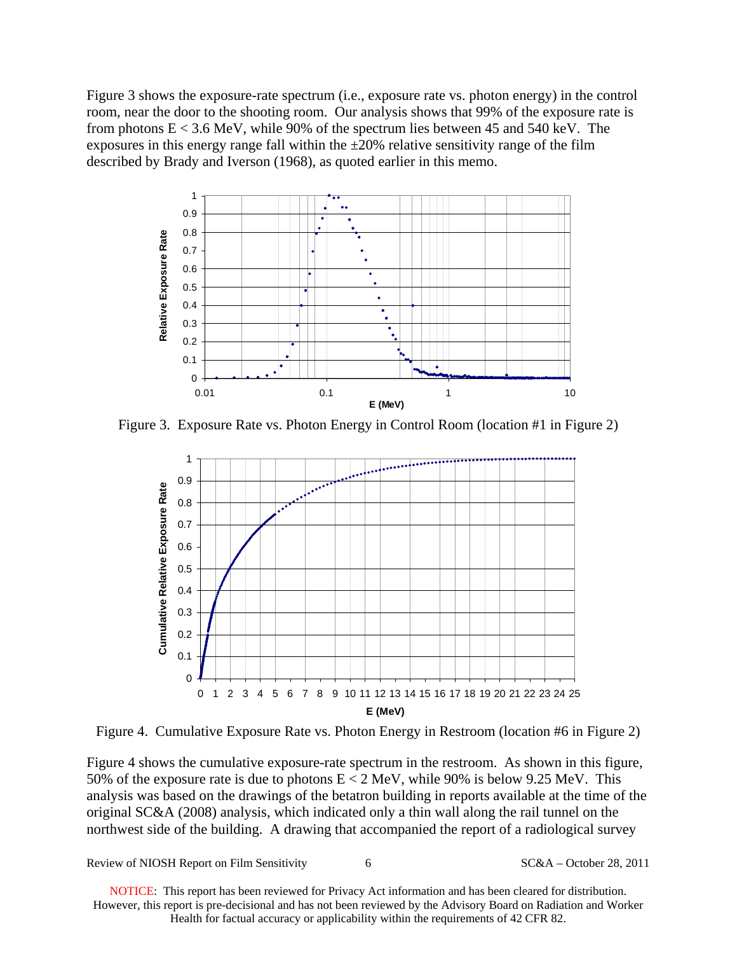Figure 3 shows the exposure-rate spectrum (i.e., exposure rate vs. photon energy) in the control room, near the door to the shooting room. Our analysis shows that 99% of the exposure rate is from photons  $E < 3.6$  MeV, while 90% of the spectrum lies between 45 and 540 keV. The exposures in this energy range fall within the  $\pm 20\%$  relative sensitivity range of the film described by Brady and Iverson (1968), as quoted earlier in this memo.



Figure 3. Exposure Rate vs. Photon Energy in Control Room (location #1 in Figure 2)



Figure 4. Cumulative Exposure Rate vs. Photon Energy in Restroom (location #6 in Figure 2)

Figure 4 shows the cumulative exposure-rate spectrum in the restroom. As shown in this figure, 50% of the exposure rate is due to photons  $E < 2$  MeV, while 90% is below 9.25 MeV. This analysis was based on the drawings of the betatron building in reports available at the time of the original SC&A (2008) analysis, which indicated only a thin wall along the rail tunnel on the northwest side of the building. A drawing that accompanied the report of a radiological survey

Review of NIOSH Report on Film Sensitivity 6 6 SC&A – October 28, 2011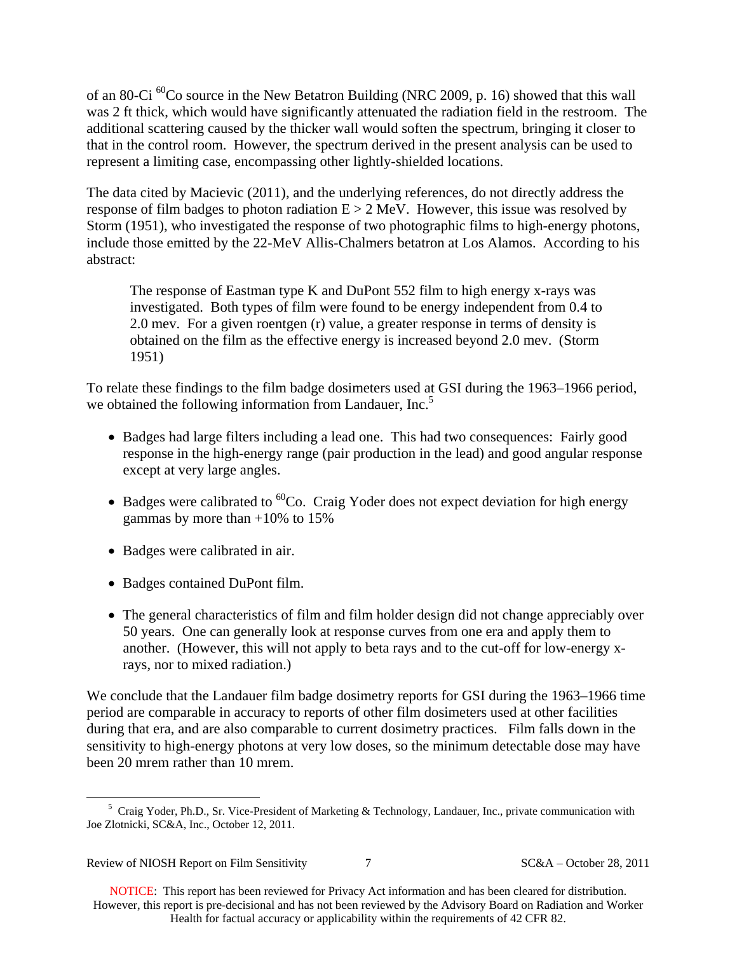of an 80-Ci  ${}^{60}$ Co source in the New Betatron Building (NRC 2009, p. 16) showed that this wall was 2 ft thick, which would have significantly attenuated the radiation field in the restroom. The additional scattering caused by the thicker wall would soften the spectrum, bringing it closer to that in the control room. However, the spectrum derived in the present analysis can be used to represent a limiting case, encompassing other lightly-shielded locations.

The data cited by Macievic (2011), and the underlying references, do not directly address the response of film badges to photon radiation  $E > 2$  MeV. However, this issue was resolved by Storm (1951), who investigated the response of two photographic films to high-energy photons, include those emitted by the 22-MeV Allis-Chalmers betatron at Los Alamos. According to his abstract:

The response of Eastman type K and DuPont 552 film to high energy x-rays was investigated. Both types of film were found to be energy independent from 0.4 to 2.0 mev. For a given roentgen (r) value, a greater response in terms of density is obtained on the film as the effective energy is increased beyond 2.0 mev. (Storm 1951)

we obtained the following information from Landauer, Inc.<sup>5</sup> To relate these findings to the film badge dosimeters used at GSI during the 1963–1966 period,

- Badges had large filters including a lead one. This had two consequences: Fairly good response in the high-energy range (pair production in the lead) and good angular response except at very large angles.
- $\bullet$  Badges were calibrated to <sup>60</sup>Co. Craig Yoder does not expect deviation for high energy gammas by more than  $+10\%$  to 15%
- Badges were calibrated in air.
- Badges contained DuPont film.
- The general characteristics of film and film holder design did not change appreciably over 50 years. One can generally look at response curves from one era and apply them to another. (However, this will not apply to beta rays and to the cut-off for low-energy xrays, nor to mixed radiation.)

We conclude that the Landauer film badge dosimetry reports for GSI during the 1963–1966 time period are comparable in accuracy to reports of other film dosimeters used at other facilities during that era, and are also comparable to current dosimetry practices. Film falls down in the sensitivity to high-energy photons at very low doses, so the minimum detectable dose may have been 20 mrem rather than 10 mrem.

<u>.</u>

<sup>&</sup>lt;sup>5</sup> Craig Yoder, Ph.D., Sr. Vice-President of Marketing & Technology, Landauer, Inc., private communication with Joe Zlotnicki, SC&A, Inc., October 12, 2011.